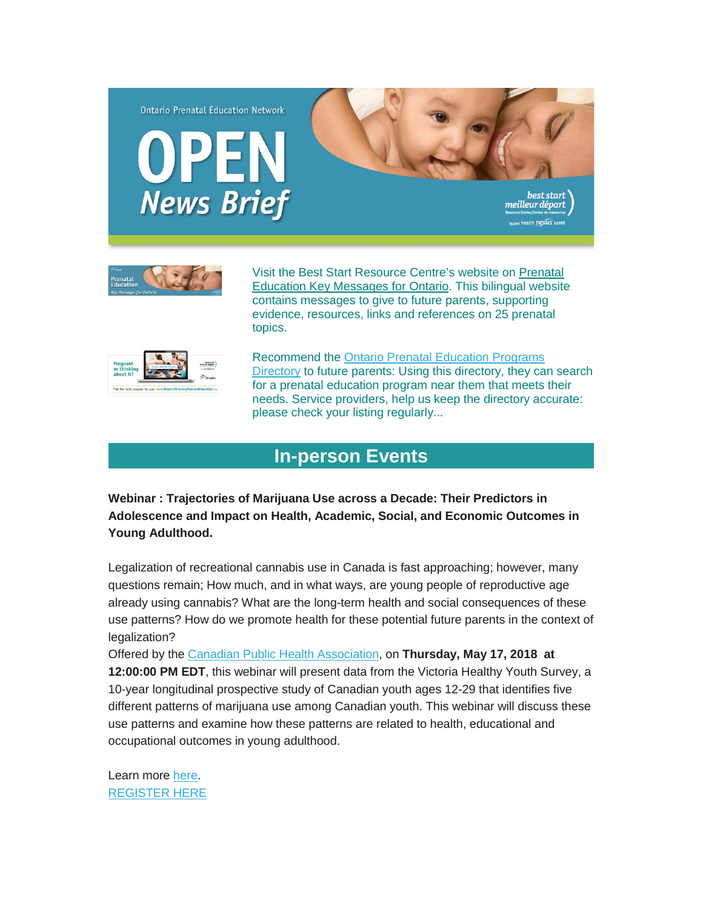



Visit the Best Start Resource Centre's website on [Prenatal](http://www.ontarioprenataleducation.ca/)  [Education Key Messages for Ontario.](http://www.ontarioprenataleducation.ca/) This bilingual website contains messages to give to future parents, supporting evidence, resources, links and references on 25 prenatal topics.



Recommend the [Ontario Prenatal Education Programs](http://ontariodirectoryprenataleducation.ca/)  [Directory](http://ontariodirectoryprenataleducation.ca/) to future parents: Using this directory, they can search for a prenatal education program near them that meets their needs. Service providers, help us keep the directory accurate: please check your listing regularly...

## **[In-person Events](http://)**

**Webinar : Trajectories of Marijuana Use across a Decade: Their Predictors in Adolescence and Impact on Health, Academic, Social, and Economic Outcomes in Young Adulthood.**

Legalization of recreational cannabis use in Canada is fast approaching; however, many questions remain; How much, and in what ways, are young people of reproductive age already using cannabis? What are the long-term health and social consequences of these use patterns? How do we promote health for these potential future parents in the context of legalization?

Offered by the [Canadian Public Health Association,](https://www.cpha.ca/) on **Thursday, May 17, 2018 at 12:00:00 PM EDT**, this webinar will present data from the Victoria Healthy Youth Survey, a 10-year longitudinal prospective study of Canadian youth ages 12-29 that identifies five different patterns of marijuana use among Canadian youth. This webinar will discuss these use patterns and examine how these patterns are related to health, educational and occupational outcomes in young adulthood.

Learn more [here.](https://events-na7.adobeconnect.com/content/connect/c1/1153155531/en/events/event/shared/1839041852/event_landing.html?sco-id=1867094777) [REGISTER HERE](https://events-na7.adobeconnect.com/content/connect/c1/1153155531/en/events/event/shared/1839041852/event_registration.html?sco-id=1867094777)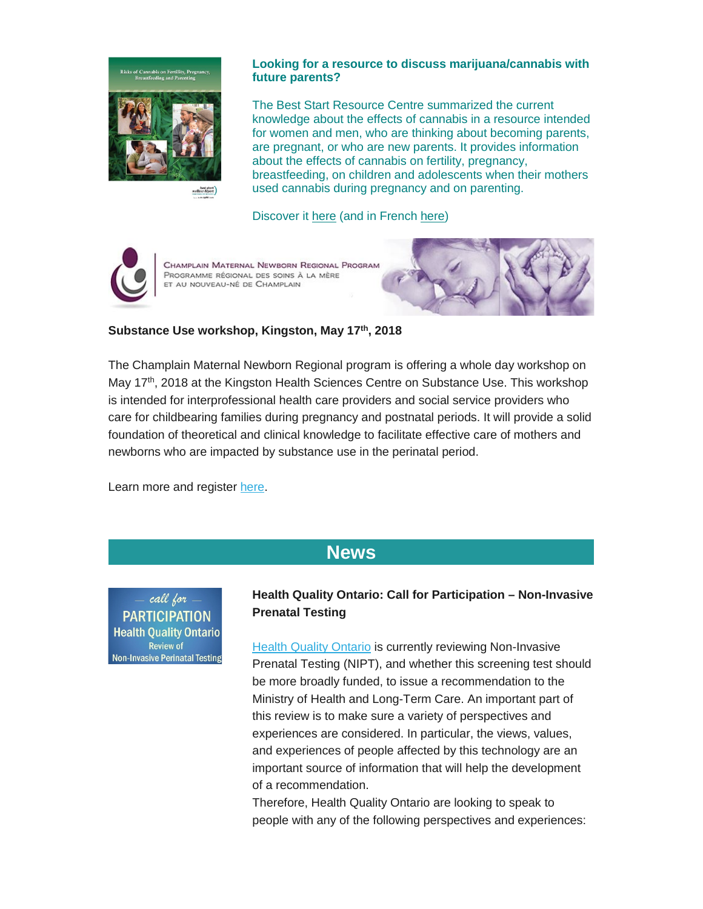

#### **Looking for a resource to discuss marijuana/cannabis with future parents?**

The Best Start Resource Centre summarized the current knowledge about the effects of cannabis in a resource intended for women and men, who are thinking about becoming parents, are pregnant, or who are new parents. It provides information about the effects of cannabis on fertility, pregnancy, breastfeeding, on children and adolescents when their mothers used cannabis during pregnancy and on parenting.

Discover it [here](https://www.beststart.org/cgi-bin/commerce.cgi?preadd=action&key=A30-E) (and in French [here\)](https://www.beststart.org/cgi-bin/commerce.cgi?preadd=action&key=A30-F)



CHAMPLAIN MATERNAL NEWBORN REGIONAL PROGRAM PROGRAMME RÉGIONAL DES SOINS À LA MÈRE ET AU NOUVEAU-NÉ DE CHAMPLAIN



The Champlain Maternal Newborn Regional program is offering a whole day workshop on May 17<sup>th</sup>, 2018 at the Kingston Health Sciences Centre on Substance Use. This workshop is intended for interprofessional health care providers and social service providers who care for childbearing families during pregnancy and postnatal periods. It will provide a solid foundation of theoretical and clinical knowledge to facilitate effective care of mothers and newborns who are impacted by substance use in the perinatal period.

Learn more and register [here.](https://cmnrp.simplesignup.ca/en/3082/index.php?m=eventSummary)

# **[News](http://)**

call for **PARTICIPATION Health Quality Ontario Review of Non-Invasive Perinatal Testing** 

### **Health Quality Ontario: Call for Participation – Non-Invasive Prenatal Testing**

[Health Quality Ontario](http://www.hqontario.ca/) is currently reviewing Non-Invasive Prenatal Testing (NIPT), and whether this screening test should be more broadly funded, to issue a recommendation to the Ministry of Health and Long-Term Care. An important part of this review is to make sure a variety of perspectives and experiences are considered. In particular, the views, values, and experiences of people affected by this technology are an important source of information that will help the development of a recommendation.

Therefore, Health Quality Ontario are looking to speak to people with any of the following perspectives and experiences: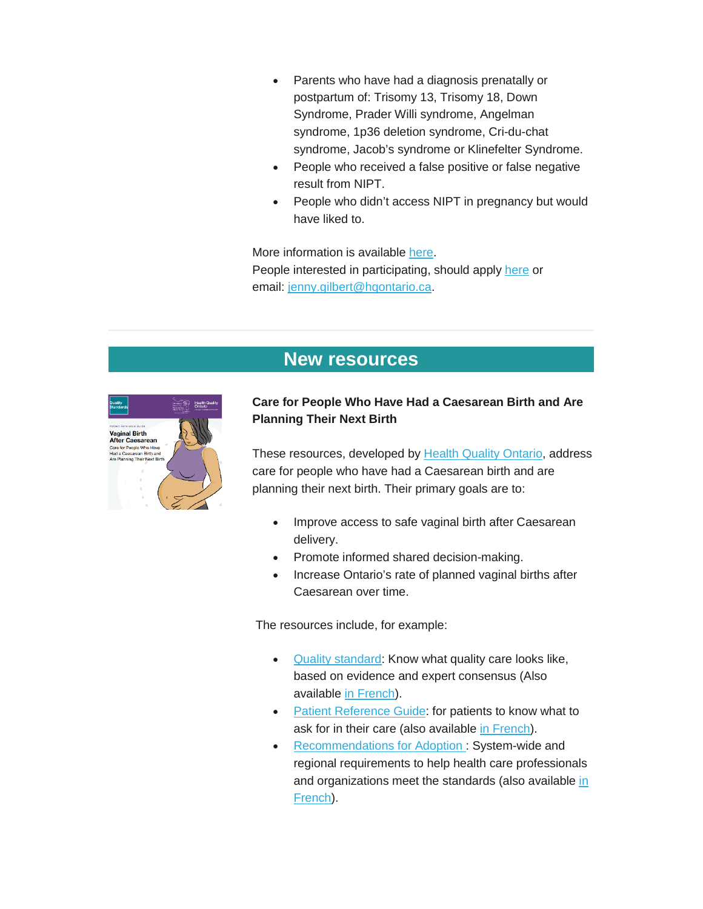- Parents who have had a diagnosis prenatally or postpartum of: Trisomy 13, Trisomy 18, Down Syndrome, Prader Willi syndrome, Angelman syndrome, 1p36 deletion syndrome, Cri-du-chat syndrome, Jacob's syndrome or Klinefelter Syndrome.
- People who received a false positive or false negative result from NIPT.
- People who didn't access NIPT in pregnancy but would have liked to.

More information is available [here.](http://www.pcmch.on.ca/health-quality-ontario-call-participation-non-invasive-prenatal-testing/) People interested in participating, should apply [here](http://www.surveygizmo.com/s3/4026453/NIPT-Health-Technology-Assessment) or email: [jenny.gilbert@hqontario.ca.](mailto:jenny.gilbert@hqontario.ca)

## **[New resources](http://)**



#### **Care for People Who Have Had a Caesarean Birth and Are Planning Their Next Birth**

These resources, developed by [Health Quality Ontario,](http://www.hqontario.ca/) address care for people who have had a Caesarean birth and are planning their next birth. Their primary goals are to:

- Improve access to safe vaginal birth after Caesarean delivery.
- Promote informed shared decision-making.
- Increase Ontario's rate of planned vaginal births after Caesarean over time.

The resources include, for example:

- [Quality standard:](http://www.hqontario.ca/portals/0/documents/evidence/quality-standards/qs-vaginal-birth-after-caesarean-clinician-guide-en.pdf) Know what quality care looks like, based on evidence and expert consensus (Also available [in French\)](http://www.hqontario.ca/portals/0/documents/evidence/quality-standards/qs-vaginal-birth-after-caesarean-clinical-guide-fr.pdf).
- [Patient Reference Guide:](http://www.hqontario.ca/portals/0/documents/evidence/quality-standards/qs-vaginal-birth-after-caesarean-patient-guide-en.pdf) for patients to know what to ask for in their care (also available [in French\)](http://www.hqontario.ca/portals/0/documents/evidence/quality-standards/qs-vaginal-birth-after-caesarean-patient-guide-fr.pdf).
- [Recommendations for Adoption](http://www.hqontario.ca/Portals/0/documents/evidence/quality-standards/qs-vaginal-birth-after-caesarean-recommendations-for-adoption-en.pdf) : System-wide and regional requirements to help health care professionals and organizations meet the standards (also available in [French\)](http://www.hqontario.ca/Portals/0/documents/evidence/quality-standards/getting-started-guide-fr.pdf).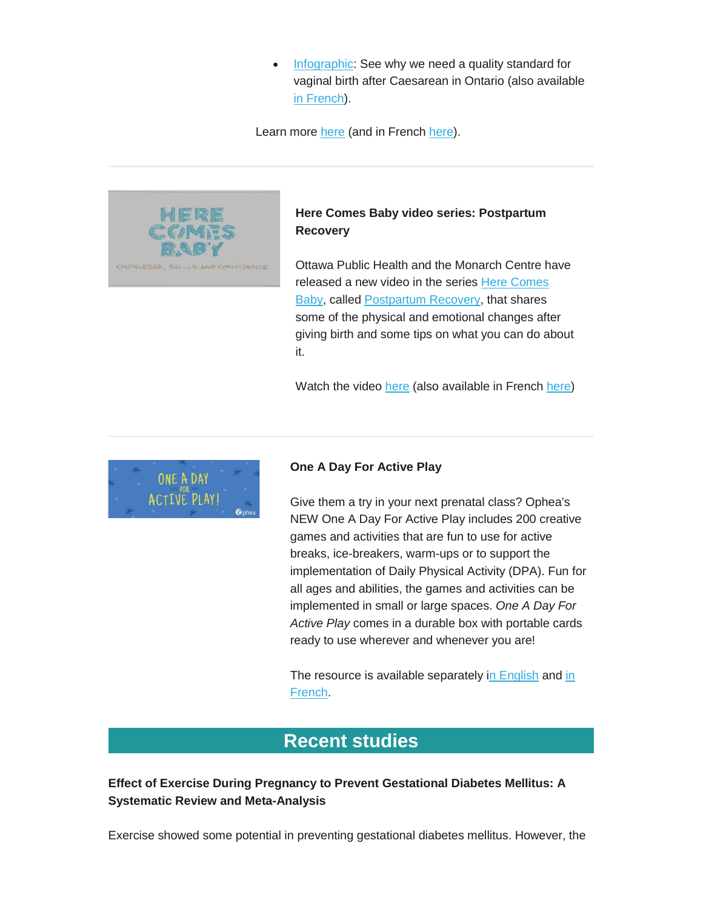• [Infographic:](http://www.hqontario.ca/portals/0/documents/evidence/quality-standards/qs-vaginal-birth-after-caesarean-infographic-en.pdf) See why we need a quality standard for vaginal birth after Caesarean in Ontario (also available [in French\)](http://www.hqontario.ca/Portals/0/documents/evidence/quality-standards/qs-vaginal-birth-after-caesarean-infographic-fr.pdf).

Learn more [here](http://www.hqontario.ca/Evidence-to-Improve-Care/Quality-Standards/View-all-Quality-Standards/Vaginal-Birth-After-Caesarean-VBAC) (and in French [here\)](http://www.hqontario.ca/Am%C3%A9liorer-les-soins-gr%C3%A2ce-aux-donn%C3%A9es-probantes/Normes-de-qualit%C3%A9/Voir-toutes-les-normes-de-qualit%C3%A9/Accouchement-vaginal-apr%C3%A8s-c%C3%A9sarienne-AVAC).



### **Here Comes Baby video series: Postpartum Recovery**

Ottawa Public Health and the Monarch Centre have released a new video in the series [Here Comes](https://www.parentinginottawa.ca/en/becoming-a-parent-and-pregnancy/here-comes-baby.aspx)  [Baby,](https://www.parentinginottawa.ca/en/becoming-a-parent-and-pregnancy/here-comes-baby.aspx) called [Postpartum Recovery,](https://www.youtube.com/watch?v=cYWGzXLZFAk) that shares some of the physical and emotional changes after giving birth and some tips on what you can do about it.

Watch the video [here](https://www.youtube.com/watch?v=cYWGzXLZFAk) (also available in French [here\)](https://www.youtube.com/watch?v=Rrhg6-7mzXY&feature=youtu.be)



#### **One A Day For Active Play**

Give them a try in your next prenatal class? Ophea's NEW One A Day For Active Play includes 200 creative games and activities that are fun to use for active breaks, ice-breakers, warm-ups or to support the implementation of Daily Physical Activity (DPA). Fun for all ages and abilities, the games and activities can be implemented in small or large spaces. *One A Day For Active Play* comes in a durable box with portable cards ready to use wherever and whenever you are!

The resource is available separately [in English](https://teachingtools.ophea.net/activities/one-day-active-play) and in [French.](https://carrefourpedagogique.ophea.net/activites/au-jeu-200-idees-actives)

## **[Recent studies](http://)**

**Effect of Exercise During Pregnancy to Prevent Gestational Diabetes Mellitus: A Systematic Review and Meta-Analysis**

Exercise showed some potential in preventing gestational diabetes mellitus. However, the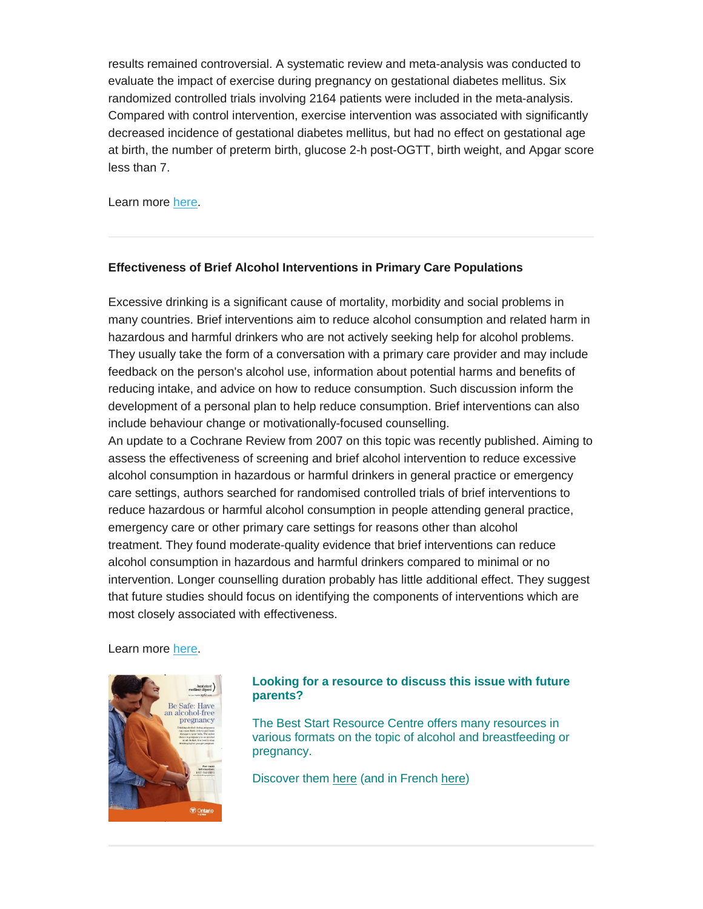results remained controversial. A systematic review and meta-analysis was conducted to evaluate the impact of exercise during pregnancy on gestational diabetes mellitus. Six randomized controlled trials involving 2164 patients were included in the meta-analysis. Compared with control intervention, exercise intervention was associated with significantly decreased incidence of gestational diabetes mellitus, but had no effect on gestational age at birth, the number of preterm birth, glucose 2-h post-OGTT, birth weight, and Apgar score less than 7.

Learn more [here.](https://www.ncbi.nlm.nih.gov/pubmed/28409688?dopt=Abstract)

#### **Effectiveness of Brief Alcohol Interventions in Primary Care Populations**

Excessive drinking is a significant cause of mortality, morbidity and social problems in many countries. Brief interventions aim to reduce alcohol consumption and related harm in hazardous and harmful drinkers who are not actively seeking help for alcohol problems. They usually take the form of a conversation with a primary care provider and may include feedback on the person's alcohol use, information about potential harms and benefits of reducing intake, and advice on how to reduce consumption. Such discussion inform the development of a personal plan to help reduce consumption. Brief interventions can also include behaviour change or motivationally-focused counselling.

An update to a Cochrane Review from 2007 on this topic was recently published. Aiming to assess the effectiveness of screening and brief alcohol intervention to reduce excessive alcohol consumption in hazardous or harmful drinkers in general practice or emergency care settings, authors searched for randomised controlled trials of brief interventions to reduce hazardous or harmful alcohol consumption in people attending general practice, emergency care or other primary care settings for reasons other than alcohol treatment. They found moderate-quality evidence that brief interventions can reduce alcohol consumption in hazardous and harmful drinkers compared to minimal or no intervention. Longer counselling duration probably has little additional effect. They suggest that future studies should focus on identifying the components of interventions which are most closely associated with effectiveness.

Learn more [here.](http://cochranelibrary-wiley.com/doi/10.1002/14651858.CD004148.pub4/pdf)



#### **Looking for a resource to discuss this issue with future parents?**

The Best Start Resource Centre offers many resources in various formats on the topic of alcohol and breastfeeding or pregnancy.

Discover them [here](https://www.beststart.org/cgi-bin/commerce.cgi?search=action&category=A00E&advanced=yes&sortkey=sku&sortorder=descending) (and in French [here\)](https://www.beststart.org/cgi-bin/commerce.cgi?search=action&category=A00F&advanced=yes&sortkey=sku&sortorder=descending)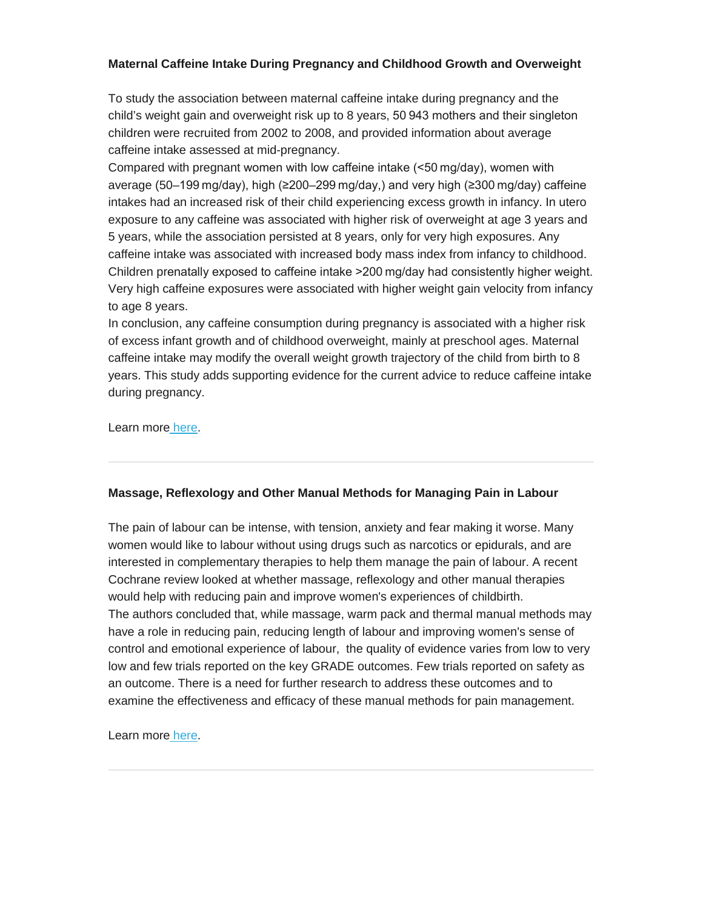#### **Maternal Caffeine Intake During Pregnancy and Childhood Growth and Overweight**

To study the association between maternal caffeine intake during pregnancy and the child's weight gain and overweight risk up to 8 years, 50 943 mothers and their singleton children were recruited from 2002 to 2008, and provided information about average caffeine intake assessed at mid-pregnancy.

Compared with pregnant women with low caffeine intake (<50 mg/day), women with average (50–199 mg/day), high (≥200–299 mg/day,) and very high (≥300 mg/day) caffeine intakes had an increased risk of their child experiencing excess growth in infancy. In utero exposure to any caffeine was associated with higher risk of overweight at age 3 years and 5 years, while the association persisted at 8 years, only for very high exposures. Any caffeine intake was associated with increased body mass index from infancy to childhood. Children prenatally exposed to caffeine intake >200 mg/day had consistently higher weight. Very high caffeine exposures were associated with higher weight gain velocity from infancy to age 8 years.

In conclusion, any caffeine consumption during pregnancy is associated with a higher risk of excess infant growth and of childhood overweight, mainly at preschool ages. Maternal caffeine intake may modify the overall weight growth trajectory of the child from birth to 8 years. This study adds supporting evidence for the current advice to reduce caffeine intake during pregnancy.

Learn more [here.](http://bmjopen.bmj.com/content/8/3/e018895)

#### **Massage, Reflexology and Other Manual Methods for Managing Pain in Labour**

The pain of labour can be intense, with tension, anxiety and fear making it worse. Many women would like to labour without using drugs such as narcotics or epidurals, and are interested in complementary therapies to help them manage the pain of labour. A recent Cochrane review looked at whether massage, reflexology and other manual therapies would help with reducing pain and improve women's experiences of childbirth. The authors concluded that, while massage, warm pack and thermal manual methods may have a role in reducing pain, reducing length of labour and improving women's sense of control and emotional experience of labour, the quality of evidence varies from low to very low and few trials reported on the key GRADE outcomes. Few trials reported on safety as an outcome. There is a need for further research to address these outcomes and to examine the effectiveness and efficacy of these manual methods for pain management.

Learn more [here.](http://www.cochrane.org/CD009290/PREG_massage-reflexology-and-other-manual-methods-managing-pain-labour)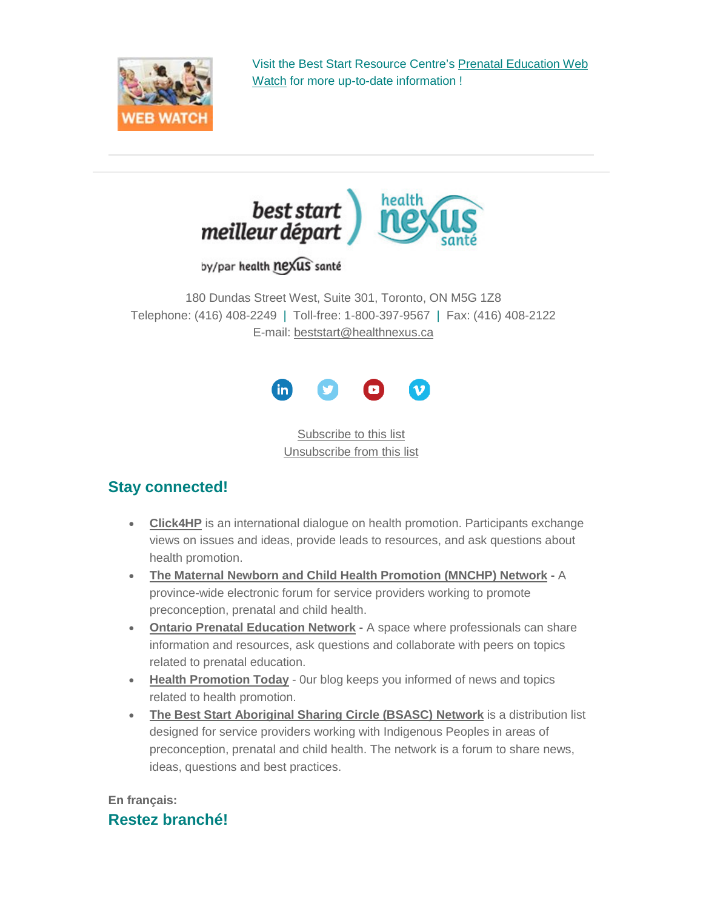

Visit the Best Start Resource Centre's [Prenatal Education Web](http://www.netvibes.com/bsrcprenatal#General)  [Watch](http://www.netvibes.com/bsrcprenatal#General) for more up-to-date information !



by/par health nexus santé

180 Dundas Street West, Suite 301, Toronto, ON M5G 1Z8 Telephone: (416) 408-2249 | Toll-free: 1-800-397-9567 | Fax: (416) 408-2122 E-mail: [beststart@healthnexus.ca](mailto:beststart@healthnexus.ca?subject=Contact%20Us)



[Subscribe to this list](mailto:open@healthnexus.ca?subject=Subscribe%20to%20OPEN) [Unsubscribe from this list](mailto:open@healthnexus.ca?subject=Unsubscribe%20from%20OPEN)

## **Stay connected!**

- **[Click4HP](https://listserv.yorku.ca/archives/click4hp.html)** is an international dialogue on health promotion. Participants exchange views on issues and ideas, provide leads to resources, and ask questions about health promotion.
- **[The Maternal Newborn and Child Health Promotion \(MNCHP\) Network](http://lists.beststart.org/listinfo.cgi/mnchp-beststart.org) -** A province-wide electronic forum for service providers working to promote preconception, prenatal and child health.
- **[Ontario Prenatal Education Network](http://fluidsurveys.com/surveys/ohpe/subscriptionsopen2015-2016/) -** A space where professionals can share information and resources, ask questions and collaborate with peers on topics related to prenatal education.
- **[Health Promotion Today](http://en.healthnexus.ca/)** 0ur blog keeps you informed of news and topics related to health promotion.
- **[The Best Start Aboriginal Sharing Circle \(BSASC\) Network](http://lists.beststart.org/listinfo.cgi/bsasc-beststart.org)** is a distribution list designed for service providers working with Indigenous Peoples in areas of preconception, prenatal and child health. The network is a forum to share news, ideas, questions and best practices.

## **En français: Restez branché!**